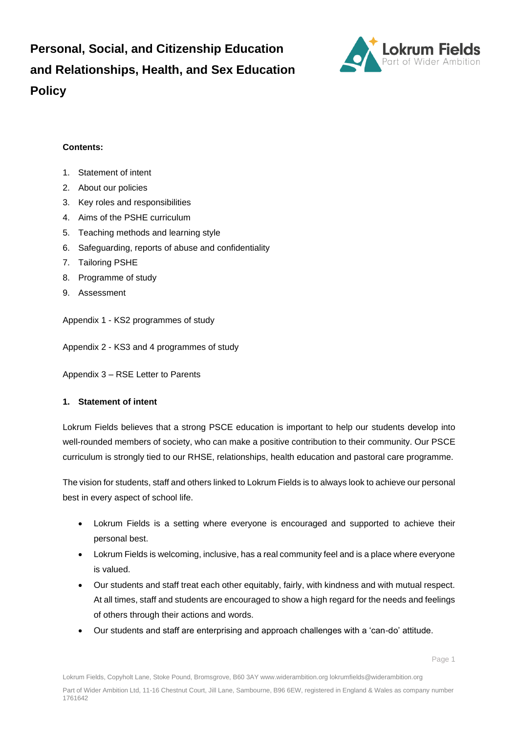**Personal, Social, and Citizenship Education and Relationships, Health, and Sex Education Policy**



## **Contents:**

- 1. Statement of intent
- 2. About our policies
- 3. [Key roles and responsibilities](file:///C:/Users/Louise.Chance/Downloads/PSHE_Policy_20190126%20(1).docx%23_Key_roles_and)
- 4. [Aims of the PSHE curriculum](file:///C:/Users/Louise.Chance/Downloads/PSHE_Policy_20190126%20(1).docx%23_Aims_of_the_1)
- 5. [Teaching methods and learning style](file:///C:/Users/Louise.Chance/Downloads/PSHE_Policy_20190126%20(1).docx%23_Teaching_methods_and)
- 6. [Safeguarding, reports of abuse and confidentiality](file:///C:/Users/Louise.Chance/Downloads/PSHE_Policy_20190126%20(1).docx%23_Reporting_and_confidentiality)
- 7. [Tailoring PSHE](file:///C:/Users/Louise.Chance/Downloads/PSHE_Policy_20190126%20(1).docx%23_%5bUpdated%5d_Tailoring_PSHE)
- 8. Programme of study
- 9. Assessment

Appendix 1 - [KS2 programmes of study](file:///C:/Users/Louise.Chance/Downloads/PSHE_Policy_20190126%20(1).docx%23_Key_stage_1)

Appendix 2 - [KS3 and 4 programmes of study](file:///C:/Users/Louise.Chance/Downloads/PSHE_Policy_20190126%20(1).docx%23_Key_stage_3_1)

Appendix 3 – RSE Letter to Parents

#### **1. Statement of intent**

Lokrum Fields believes that a strong PSCE education is important to help our students develop into well-rounded members of society, who can make a positive contribution to their community. Our PSCE curriculum is strongly tied to our RHSE, relationships, health education and pastoral care programme.

The vision for students, staff and others linked to Lokrum Fields is to always look to achieve our personal best in every aspect of school life.

- Lokrum Fields is a setting where everyone is encouraged and supported to achieve their personal best.
- Lokrum Fields is welcoming, inclusive, has a real community feel and is a place where everyone is valued.
- Our students and staff treat each other equitably, fairly, with kindness and with mutual respect. At all times, staff and students are encouraged to show a high regard for the needs and feelings of others through their actions and words.
- Our students and staff are enterprising and approach challenges with a 'can-do' attitude.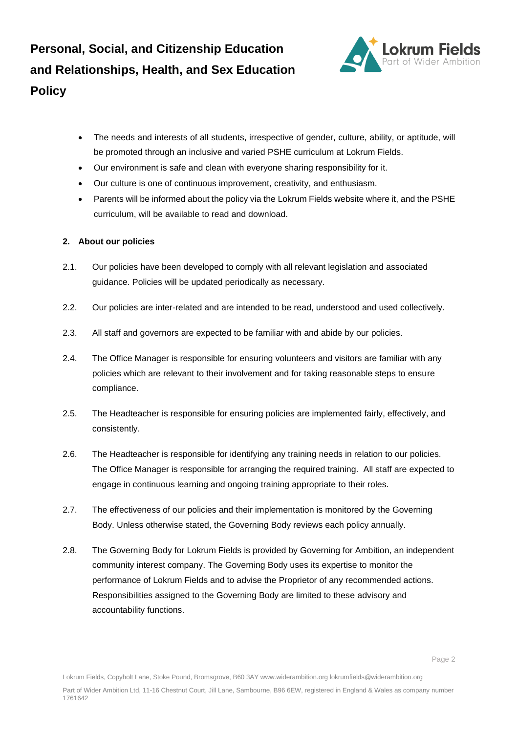**Personal, Social, and Citizenship Education and Relationships, Health, and Sex Education Policy**



- The needs and interests of all students, irrespective of gender, culture, ability, or aptitude, will be promoted through an inclusive and varied PSHE curriculum at Lokrum Fields.
- Our environment is safe and clean with everyone sharing responsibility for it.
- Our culture is one of continuous improvement, creativity, and enthusiasm.
- Parents will be informed about the policy via the Lokrum Fields website where it, and the PSHE curriculum, will be available to read and download.

#### **2. About our policies**

- 2.1. Our policies have been developed to comply with all relevant legislation and associated guidance. Policies will be updated periodically as necessary.
- 2.2. Our policies are inter-related and are intended to be read, understood and used collectively.
- 2.3. All staff and governors are expected to be familiar with and abide by our policies.
- 2.4. The Office Manager is responsible for ensuring volunteers and visitors are familiar with any policies which are relevant to their involvement and for taking reasonable steps to ensure compliance.
- 2.5. The Headteacher is responsible for ensuring policies are implemented fairly, effectively, and consistently.
- 2.6. The Headteacher is responsible for identifying any training needs in relation to our policies. The Office Manager is responsible for arranging the required training. All staff are expected to engage in continuous learning and ongoing training appropriate to their roles.
- 2.7. The effectiveness of our policies and their implementation is monitored by the Governing Body. Unless otherwise stated, the Governing Body reviews each policy annually.
- 2.8. The Governing Body for Lokrum Fields is provided by Governing for Ambition, an independent community interest company. The Governing Body uses its expertise to monitor the performance of Lokrum Fields and to advise the Proprietor of any recommended actions. Responsibilities assigned to the Governing Body are limited to these advisory and accountability functions.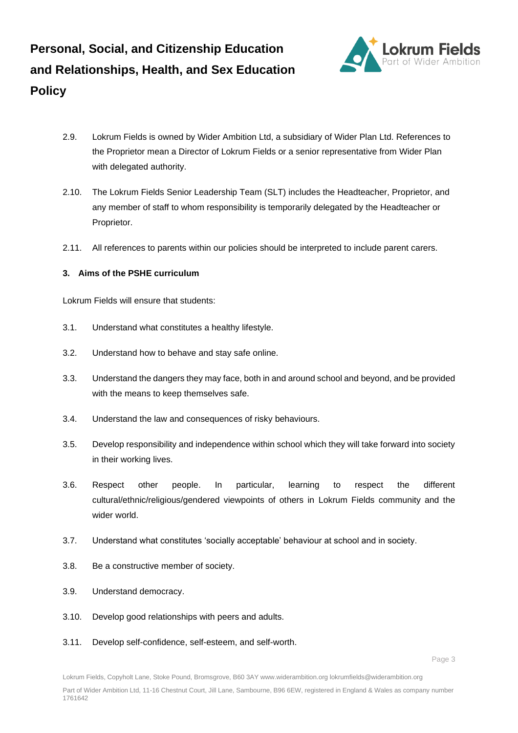

- 2.9. Lokrum Fields is owned by Wider Ambition Ltd, a subsidiary of Wider Plan Ltd. References to the Proprietor mean a Director of Lokrum Fields or a senior representative from Wider Plan with delegated authority.
- 2.10. The Lokrum Fields Senior Leadership Team (SLT) includes the Headteacher, Proprietor, and any member of staff to whom responsibility is temporarily delegated by the Headteacher or Proprietor.
- 2.11. All references to parents within our policies should be interpreted to include parent carers.

## **3. Aims of the PSHE curriculum**

Lokrum Fields will ensure that students:

- 3.1. Understand what constitutes a healthy lifestyle.
- 3.2. Understand how to behave and stay safe online.
- 3.3. Understand the dangers they may face, both in and around school and beyond, and be provided with the means to keep themselves safe.
- 3.4. Understand the law and consequences of risky behaviours.
- 3.5. Develop responsibility and independence within school which they will take forward into society in their working lives.
- 3.6. Respect other people. In particular, learning to respect the different cultural/ethnic/religious/gendered viewpoints of others in Lokrum Fields community and the wider world.
- 3.7. Understand what constitutes 'socially acceptable' behaviour at school and in society.
- 3.8. Be a constructive member of society.
- 3.9. Understand democracy.
- 3.10. Develop good relationships with peers and adults.
- 3.11. Develop self-confidence, self-esteem, and self-worth.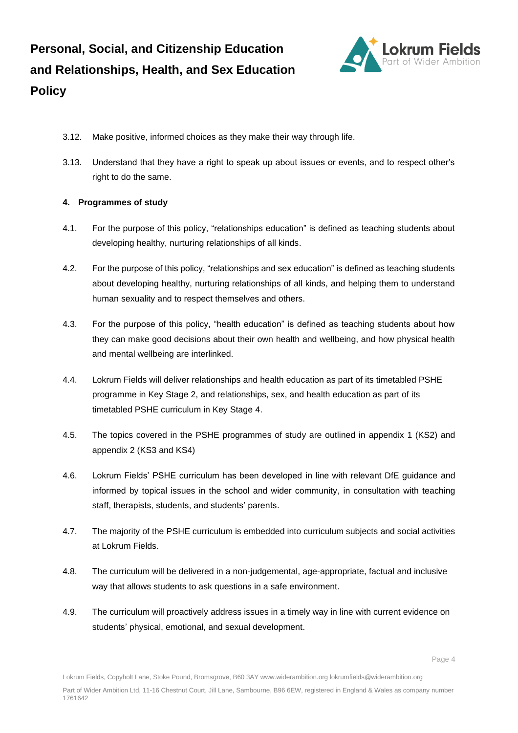

- 3.12. Make positive, informed choices as they make their way through life.
- 3.13. Understand that they have a right to speak up about issues or events, and to respect other's right to do the same.

#### **4. Programmes of study**

- 4.1. For the purpose of this policy, "relationships education" is defined as teaching students about developing healthy, nurturing relationships of all kinds.
- 4.2. For the purpose of this policy, "relationships and sex education" is defined as teaching students about developing healthy, nurturing relationships of all kinds, and helping them to understand human sexuality and to respect themselves and others.
- 4.3. For the purpose of this policy, "health education" is defined as teaching students about how they can make good decisions about their own health and wellbeing, and how physical health and mental wellbeing are interlinked.
- 4.4. Lokrum Fields will deliver relationships and health education as part of its timetabled PSHE programme in Key Stage 2, and relationships, sex, and health education as part of its timetabled PSHE curriculum in Key Stage 4.
- 4.5. The topics covered in the PSHE programmes of study are outlined in appendix 1 (KS2) and appendix 2 (KS3 and KS4)
- 4.6. Lokrum Fields' PSHE curriculum has been developed in line with relevant DfE guidance and informed by topical issues in the school and wider community, in consultation with teaching staff, therapists, students, and students' parents.
- 4.7. The majority of the PSHE curriculum is embedded into curriculum subjects and social activities at Lokrum Fields.
- 4.8. The curriculum will be delivered in a non-judgemental, age-appropriate, factual and inclusive way that allows students to ask questions in a safe environment.
- 4.9. The curriculum will proactively address issues in a timely way in line with current evidence on students' physical, emotional, and sexual development.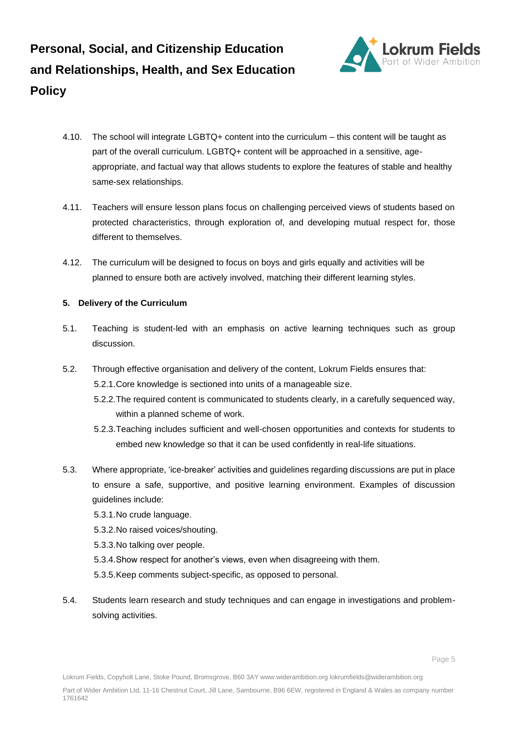

- 4.10. The school will integrate LGBTQ+ content into the curriculum this content will be taught as part of the overall curriculum. LGBTQ+ content will be approached in a sensitive, ageappropriate, and factual way that allows students to explore the features of stable and healthy same-sex relationships.
- 4.11. Teachers will ensure lesson plans focus on challenging perceived views of students based on protected characteristics, through exploration of, and developing mutual respect for, those different to themselves.
- 4.12. The curriculum will be designed to focus on boys and girls equally and activities will be planned to ensure both are actively involved, matching their different learning styles.

# **5. Delivery of the Curriculum**

- 5.1. Teaching is student-led with an emphasis on active learning techniques such as group discussion.
- 5.2. Through effective organisation and delivery of the content, Lokrum Fields ensures that: 5.2.1.Core knowledge is sectioned into units of a manageable size.
	- 5.2.2.The required content is communicated to students clearly, in a carefully sequenced way, within a planned scheme of work.
	- 5.2.3.Teaching includes sufficient and well-chosen opportunities and contexts for students to embed new knowledge so that it can be used confidently in real-life situations.
- 5.3. Where appropriate, 'ice-breaker' activities and guidelines regarding discussions are put in place to ensure a safe, supportive, and positive learning environment. Examples of discussion guidelines include:
	- 5.3.1.No crude language.
	- 5.3.2.No raised voices/shouting.
	- 5.3.3.No talking over people.
	- 5.3.4.Show respect for another's views, even when disagreeing with them.
	- 5.3.5.Keep comments subject-specific, as opposed to personal.
- 5.4. Students learn research and study techniques and can engage in investigations and problemsolving activities.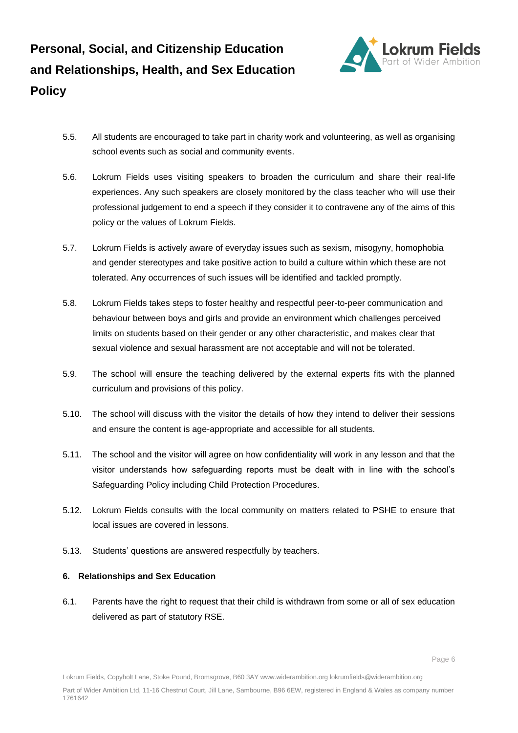

- 5.5. All students are encouraged to take part in charity work and volunteering, as well as organising school events such as social and community events.
- 5.6. Lokrum Fields uses visiting speakers to broaden the curriculum and share their real-life experiences. Any such speakers are closely monitored by the class teacher who will use their professional judgement to end a speech if they consider it to contravene any of the aims of this policy or the values of Lokrum Fields.
- 5.7. Lokrum Fields is actively aware of everyday issues such as sexism, misogyny, homophobia and gender stereotypes and take positive action to build a culture within which these are not tolerated. Any occurrences of such issues will be identified and tackled promptly.
- 5.8. Lokrum Fields takes steps to foster healthy and respectful peer-to-peer communication and behaviour between boys and girls and provide an environment which challenges perceived limits on students based on their gender or any other characteristic, and makes clear that sexual violence and sexual harassment are not acceptable and will not be tolerated.
- 5.9. The school will ensure the teaching delivered by the external experts fits with the planned curriculum and provisions of this policy.
- 5.10. The school will discuss with the visitor the details of how they intend to deliver their sessions and ensure the content is age-appropriate and accessible for all students.
- 5.11. The school and the visitor will agree on how confidentiality will work in any lesson and that the visitor understands how safeguarding reports must be dealt with in line with the school's Safeguarding Policy including Child Protection Procedures.
- 5.12. Lokrum Fields consults with the local community on matters related to PSHE to ensure that local issues are covered in lessons.
- 5.13. Students' questions are answered respectfully by teachers.

#### **6. Relationships and Sex Education**

6.1. Parents have the right to request that their child is withdrawn from some or all of sex education delivered as part of statutory RSE.

Lokrum Fields, Copyholt Lane, Stoke Pound, Bromsgrove, B60 3AY www.widerambition.org lokrumfields@widerambition.org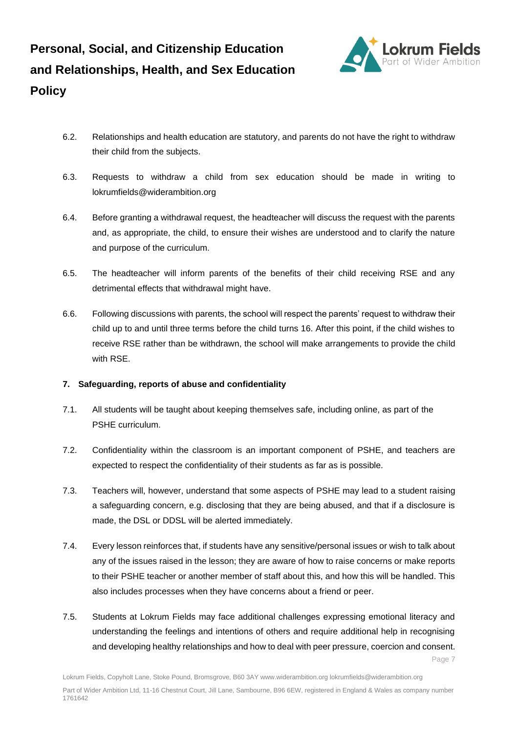

- 6.2. Relationships and health education are statutory, and parents do not have the right to withdraw their child from the subjects.
- 6.3. Requests to withdraw a child from sex education should be made in writing to lokrumfields@widerambition.org
- 6.4. Before granting a withdrawal request, the headteacher will discuss the request with the parents and, as appropriate, the child, to ensure their wishes are understood and to clarify the nature and purpose of the curriculum.
- 6.5. The headteacher will inform parents of the benefits of their child receiving RSE and any detrimental effects that withdrawal might have.
- 6.6. Following discussions with parents, the school will respect the parents' request to withdraw their child up to and until three terms before the child turns 16. After this point, if the child wishes to receive RSE rather than be withdrawn, the school will make arrangements to provide the child with RSE.

# **7. Safeguarding, reports of abuse and confidentiality**

- 7.1. All students will be taught about keeping themselves safe, including online, as part of the PSHE curriculum.
- 7.2. Confidentiality within the classroom is an important component of PSHE, and teachers are expected to respect the confidentiality of their students as far as is possible.
- 7.3. Teachers will, however, understand that some aspects of PSHE may lead to a student raising a safeguarding concern, e.g. disclosing that they are being abused, and that if a disclosure is made, the DSL or DDSL will be alerted immediately.
- 7.4. Every lesson reinforces that, if students have any sensitive/personal issues or wish to talk about any of the issues raised in the lesson; they are aware of how to raise concerns or make reports to their PSHE teacher or another member of staff about this, and how this will be handled. This also includes processes when they have concerns about a friend or peer.
- Page 7 7.5. Students at Lokrum Fields may face additional challenges expressing emotional literacy and understanding the feelings and intentions of others and require additional help in recognising and developing healthy relationships and how to deal with peer pressure, coercion and consent.

Lokrum Fields, Copyholt Lane, Stoke Pound, Bromsgrove, B60 3AY www.widerambition.org lokrumfields@widerambition.org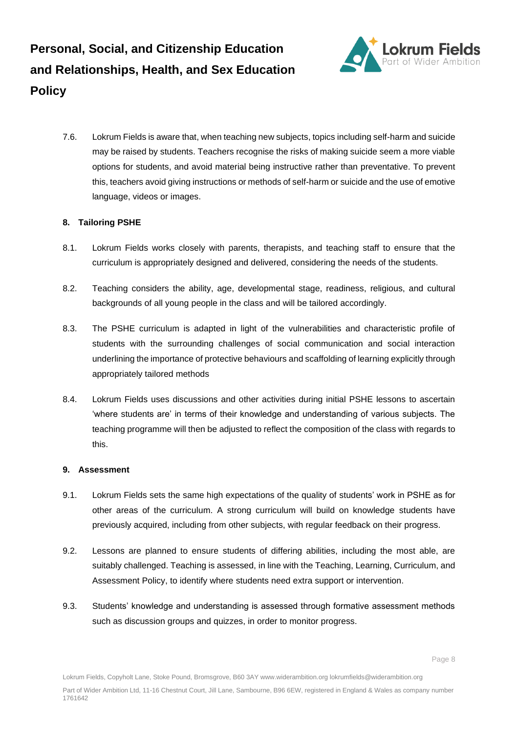

7.6. Lokrum Fields is aware that, when teaching new subjects, topics including self-harm and suicide may be raised by students. Teachers recognise the risks of making suicide seem a more viable options for students, and avoid material being instructive rather than preventative. To prevent this, teachers avoid giving instructions or methods of self-harm or suicide and the use of emotive language, videos or images.

# **8. Tailoring PSHE**

- 8.1. Lokrum Fields works closely with parents, therapists, and teaching staff to ensure that the curriculum is appropriately designed and delivered, considering the needs of the students.
- 8.2. Teaching considers the ability, age, developmental stage, readiness, religious, and cultural backgrounds of all young people in the class and will be tailored accordingly.
- 8.3. The PSHE curriculum is adapted in light of the vulnerabilities and characteristic profile of students with the surrounding challenges of social communication and social interaction underlining the importance of protective behaviours and scaffolding of learning explicitly through appropriately tailored methods
- 8.4. Lokrum Fields uses discussions and other activities during initial PSHE lessons to ascertain 'where students are' in terms of their knowledge and understanding of various subjects. The teaching programme will then be adjusted to reflect the composition of the class with regards to this.

# **9. Assessment**

- 9.1. Lokrum Fields sets the same high expectations of the quality of students' work in PSHE as for other areas of the curriculum. A strong curriculum will build on knowledge students have previously acquired, including from other subjects, with regular feedback on their progress.
- 9.2. Lessons are planned to ensure students of differing abilities, including the most able, are suitably challenged. Teaching is assessed, in line with the Teaching, Learning, Curriculum, and Assessment Policy, to identify where students need extra support or intervention.
- 9.3. Students' knowledge and understanding is assessed through formative assessment methods such as discussion groups and quizzes, in order to monitor progress.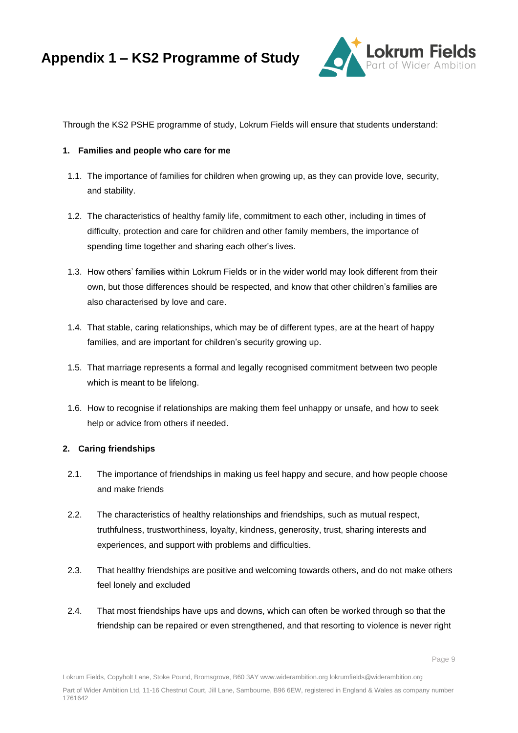

Through the KS2 PSHE programme of study, Lokrum Fields will ensure that students understand:

## **1. Families and people who care for me**

- 1.1. The importance of families for children when growing up, as they can provide love, security, and stability.
- 1.2. The characteristics of healthy family life, commitment to each other, including in times of difficulty, protection and care for children and other family members, the importance of spending time together and sharing each other's lives.
- 1.3. How others' families within Lokrum Fields or in the wider world may look different from their own, but those differences should be respected, and know that other children's families are also characterised by love and care.
- 1.4. That stable, caring relationships, which may be of different types, are at the heart of happy families, and are important for children's security growing up.
- 1.5. That marriage represents a formal and legally recognised commitment between two people which is meant to be lifelong.
- 1.6. How to recognise if relationships are making them feel unhappy or unsafe, and how to seek help or advice from others if needed.

#### **2. Caring friendships**

- 2.1. The importance of friendships in making us feel happy and secure, and how people choose and make friends
- 2.2. The characteristics of healthy relationships and friendships, such as mutual respect, truthfulness, trustworthiness, loyalty, kindness, generosity, trust, sharing interests and experiences, and support with problems and difficulties.
- 2.3. That healthy friendships are positive and welcoming towards others, and do not make others feel lonely and excluded
- 2.4. That most friendships have ups and downs, which can often be worked through so that the friendship can be repaired or even strengthened, and that resorting to violence is never right

Lokrum Fields, Copyholt Lane, Stoke Pound, Bromsgrove, B60 3AY www.widerambition.org lokrumfields@widerambition.org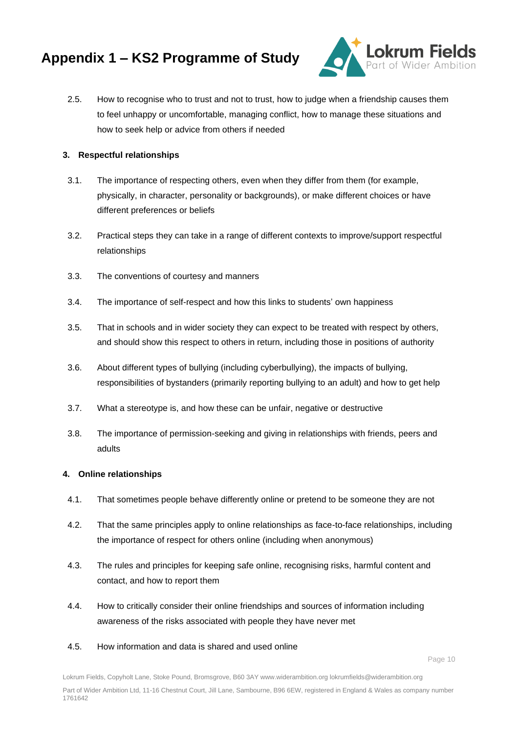

2.5. How to recognise who to trust and not to trust, how to judge when a friendship causes them to feel unhappy or uncomfortable, managing conflict, how to manage these situations and how to seek help or advice from others if needed

## **3. Respectful relationships**

- 3.1. The importance of respecting others, even when they differ from them (for example, physically, in character, personality or backgrounds), or make different choices or have different preferences or beliefs
- 3.2. Practical steps they can take in a range of different contexts to improve/support respectful relationships
- 3.3. The conventions of courtesy and manners
- 3.4. The importance of self-respect and how this links to students' own happiness
- 3.5. That in schools and in wider society they can expect to be treated with respect by others, and should show this respect to others in return, including those in positions of authority
- 3.6. About different types of bullying (including cyberbullying), the impacts of bullying, responsibilities of bystanders (primarily reporting bullying to an adult) and how to get help
- 3.7. What a stereotype is, and how these can be unfair, negative or destructive
- 3.8. The importance of permission-seeking and giving in relationships with friends, peers and adults

#### **4. Online relationships**

- 4.1. That sometimes people behave differently online or pretend to be someone they are not
- 4.2. That the same principles apply to online relationships as face-to-face relationships, including the importance of respect for others online (including when anonymous)
- 4.3. The rules and principles for keeping safe online, recognising risks, harmful content and contact, and how to report them
- 4.4. How to critically consider their online friendships and sources of information including awareness of the risks associated with people they have never met
- 4.5. How information and data is shared and used online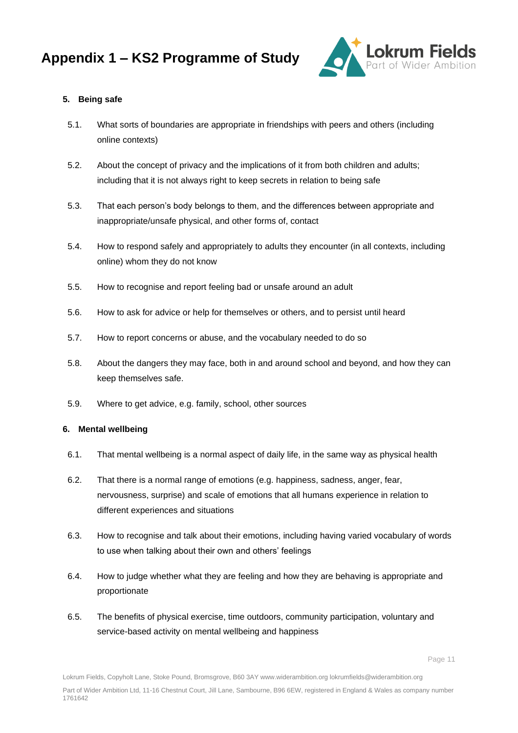

## **5. Being safe**

- 5.1. What sorts of boundaries are appropriate in friendships with peers and others (including online contexts)
- 5.2. About the concept of privacy and the implications of it from both children and adults; including that it is not always right to keep secrets in relation to being safe
- 5.3. That each person's body belongs to them, and the differences between appropriate and inappropriate/unsafe physical, and other forms of, contact
- 5.4. How to respond safely and appropriately to adults they encounter (in all contexts, including online) whom they do not know
- 5.5. How to recognise and report feeling bad or unsafe around an adult
- 5.6. How to ask for advice or help for themselves or others, and to persist until heard
- 5.7. How to report concerns or abuse, and the vocabulary needed to do so
- 5.8. About the dangers they may face, both in and around school and beyond, and how they can keep themselves safe.
- 5.9. Where to get advice, e.g. family, school, other sources

#### **6. Mental wellbeing**

- 6.1. That mental wellbeing is a normal aspect of daily life, in the same way as physical health
- 6.2. That there is a normal range of emotions (e.g. happiness, sadness, anger, fear, nervousness, surprise) and scale of emotions that all humans experience in relation to different experiences and situations
- 6.3. How to recognise and talk about their emotions, including having varied vocabulary of words to use when talking about their own and others' feelings
- 6.4. How to judge whether what they are feeling and how they are behaving is appropriate and proportionate
- 6.5. The benefits of physical exercise, time outdoors, community participation, voluntary and service-based activity on mental wellbeing and happiness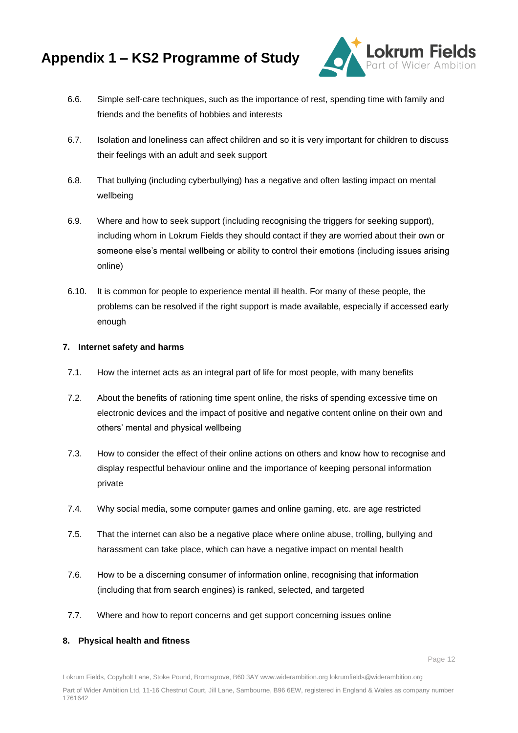

- 6.6. Simple self-care techniques, such as the importance of rest, spending time with family and friends and the benefits of hobbies and interests
- 6.7. Isolation and loneliness can affect children and so it is very important for children to discuss their feelings with an adult and seek support
- 6.8. That bullying (including cyberbullying) has a negative and often lasting impact on mental wellbeing
- 6.9. Where and how to seek support (including recognising the triggers for seeking support), including whom in Lokrum Fields they should contact if they are worried about their own or someone else's mental wellbeing or ability to control their emotions (including issues arising online)
- 6.10. It is common for people to experience mental ill health. For many of these people, the problems can be resolved if the right support is made available, especially if accessed early enough

#### **7. Internet safety and harms**

- 7.1. How the internet acts as an integral part of life for most people, with many benefits
- 7.2. About the benefits of rationing time spent online, the risks of spending excessive time on electronic devices and the impact of positive and negative content online on their own and others' mental and physical wellbeing
- 7.3. How to consider the effect of their online actions on others and know how to recognise and display respectful behaviour online and the importance of keeping personal information private
- 7.4. Why social media, some computer games and online gaming, etc. are age restricted
- 7.5. That the internet can also be a negative place where online abuse, trolling, bullying and harassment can take place, which can have a negative impact on mental health
- 7.6. How to be a discerning consumer of information online, recognising that information (including that from search engines) is ranked, selected, and targeted
- 7.7. Where and how to report concerns and get support concerning issues online

#### **8. Physical health and fitness**

Lokrum Fields, Copyholt Lane, Stoke Pound, Bromsgrove, B60 3AY www.widerambition.org lokrumfields@widerambition.org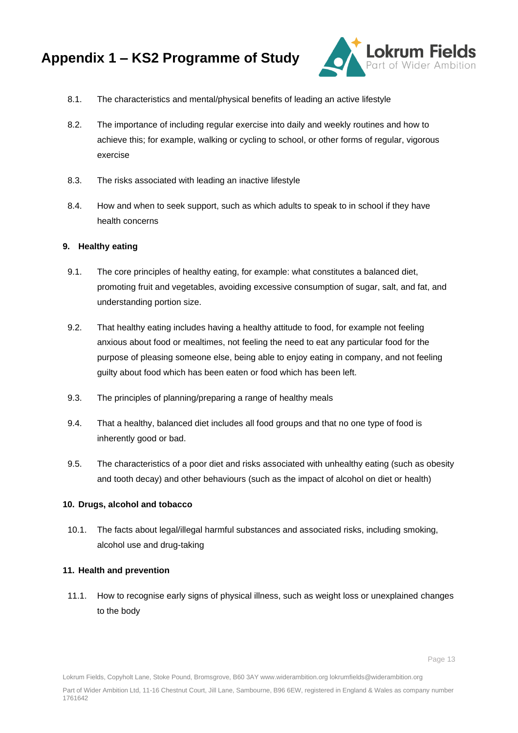

- 8.1. The characteristics and mental/physical benefits of leading an active lifestyle
- 8.2. The importance of including regular exercise into daily and weekly routines and how to achieve this; for example, walking or cycling to school, or other forms of regular, vigorous exercise
- 8.3. The risks associated with leading an inactive lifestyle
- 8.4. How and when to seek support, such as which adults to speak to in school if they have health concerns

#### **9. Healthy eating**

- 9.1. The core principles of healthy eating, for example: what constitutes a balanced diet, promoting fruit and vegetables, avoiding excessive consumption of sugar, salt, and fat, and understanding portion size.
- 9.2. That healthy eating includes having a healthy attitude to food, for example not feeling anxious about food or mealtimes, not feeling the need to eat any particular food for the purpose of pleasing someone else, being able to enjoy eating in company, and not feeling guilty about food which has been eaten or food which has been left.
- 9.3. The principles of planning/preparing a range of healthy meals
- 9.4. That a healthy, balanced diet includes all food groups and that no one type of food is inherently good or bad.
- 9.5. The characteristics of a poor diet and risks associated with unhealthy eating (such as obesity and tooth decay) and other behaviours (such as the impact of alcohol on diet or health)

#### **10. Drugs, alcohol and tobacco**

10.1. The facts about legal/illegal harmful substances and associated risks, including smoking, alcohol use and drug-taking

#### **11. Health and prevention**

11.1. How to recognise early signs of physical illness, such as weight loss or unexplained changes to the body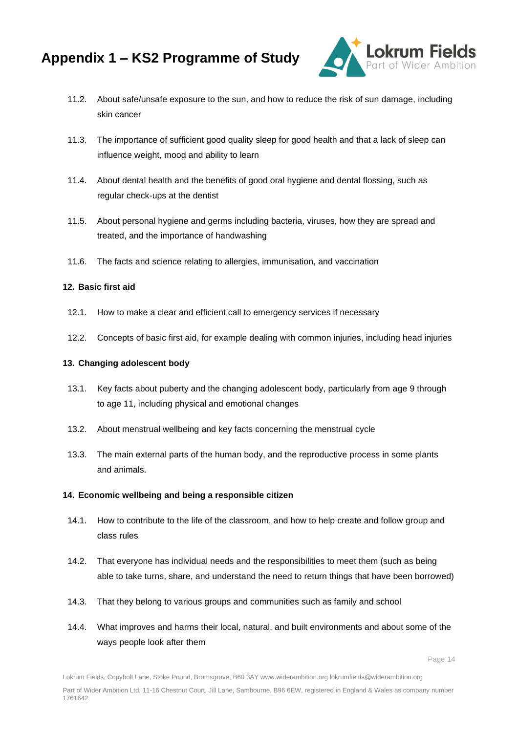

- 11.2. About safe/unsafe exposure to the sun, and how to reduce the risk of sun damage, including skin cancer
- 11.3. The importance of sufficient good quality sleep for good health and that a lack of sleep can influence weight, mood and ability to learn
- 11.4. About dental health and the benefits of good oral hygiene and dental flossing, such as regular check-ups at the dentist
- 11.5. About personal hygiene and germs including bacteria, viruses, how they are spread and treated, and the importance of handwashing
- 11.6. The facts and science relating to allergies, immunisation, and vaccination

#### **12. Basic first aid**

- 12.1. How to make a clear and efficient call to emergency services if necessary
- 12.2. Concepts of basic first aid, for example dealing with common injuries, including head injuries

#### **13. Changing adolescent body**

- 13.1. Key facts about puberty and the changing adolescent body, particularly from age 9 through to age 11, including physical and emotional changes
- 13.2. About menstrual wellbeing and key facts concerning the menstrual cycle
- 13.3. The main external parts of the human body, and the reproductive process in some plants and animals.

#### **14. Economic wellbeing and being a responsible citizen**

- 14.1. How to contribute to the life of the classroom, and how to help create and follow group and class rules
- 14.2. That everyone has individual needs and the responsibilities to meet them (such as being able to take turns, share, and understand the need to return things that have been borrowed)
- 14.3. That they belong to various groups and communities such as family and school
- 14.4. What improves and harms their local, natural, and built environments and about some of the ways people look after them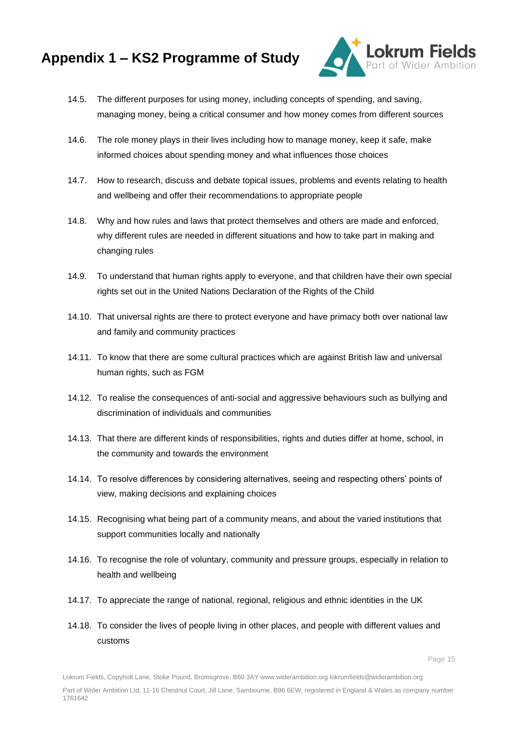

- 14.5. The different purposes for using money, including concepts of spending, and saving, managing money, being a critical consumer and how money comes from different sources
- 14.6. The role money plays in their lives including how to manage money, keep it safe, make informed choices about spending money and what influences those choices
- 14.7. How to research, discuss and debate topical issues, problems and events relating to health and wellbeing and offer their recommendations to appropriate people
- 14.8. Why and how rules and laws that protect themselves and others are made and enforced, why different rules are needed in different situations and how to take part in making and changing rules
- 14.9. To understand that human rights apply to everyone, and that children have their own special rights set out in the United Nations Declaration of the Rights of the Child
- 14.10. That universal rights are there to protect everyone and have primacy both over national law and family and community practices
- 14.11. To know that there are some cultural practices which are against British law and universal human rights, such as FGM
- 14.12. To realise the consequences of anti-social and aggressive behaviours such as bullying and discrimination of individuals and communities
- 14.13. That there are different kinds of responsibilities, rights and duties differ at home, school, in the community and towards the environment
- 14.14. To resolve differences by considering alternatives, seeing and respecting others' points of view, making decisions and explaining choices
- 14.15. Recognising what being part of a community means, and about the varied institutions that support communities locally and nationally
- 14.16. To recognise the role of voluntary, community and pressure groups, especially in relation to health and wellbeing
- 14.17. To appreciate the range of national, regional, religious and ethnic identities in the UK
- 14.18. To consider the lives of people living in other places, and people with different values and customs

Lokrum Fields, Copyholt Lane, Stoke Pound, Bromsgrove, B60 3AY www.widerambition.org lokrumfields@widerambition.org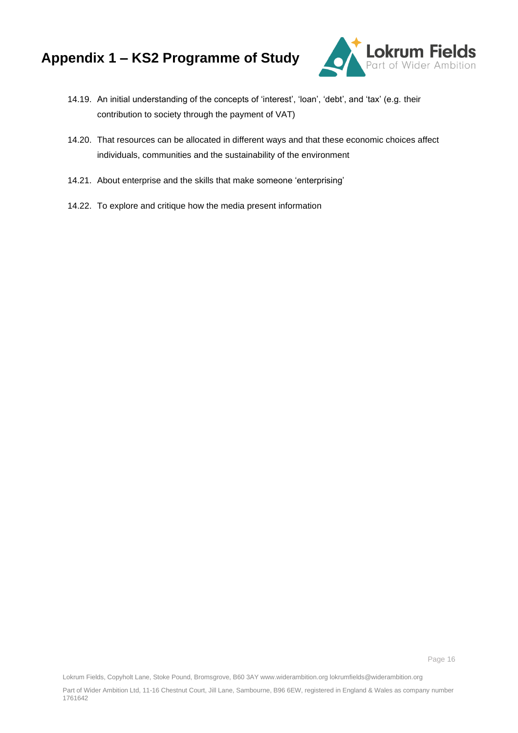

- 14.19. An initial understanding of the concepts of 'interest', 'loan', 'debt', and 'tax' (e.g. their contribution to society through the payment of VAT)
- 14.20. That resources can be allocated in different ways and that these economic choices affect individuals, communities and the sustainability of the environment
- 14.21. About enterprise and the skills that make someone 'enterprising'
- 14.22. To explore and critique how the media present information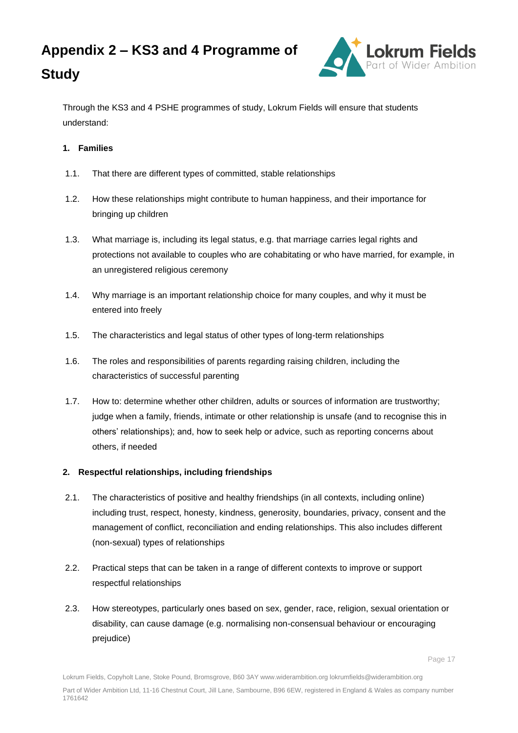



Through the KS3 and 4 PSHE programmes of study, Lokrum Fields will ensure that students understand:

# **1. Families**

- 1.1. That there are different types of committed, stable relationships
- 1.2. How these relationships might contribute to human happiness, and their importance for bringing up children
- 1.3. What marriage is, including its legal status, e.g. that marriage carries legal rights and protections not available to couples who are cohabitating or who have married, for example, in an unregistered religious ceremony
- 1.4. Why marriage is an important relationship choice for many couples, and why it must be entered into freely
- 1.5. The characteristics and legal status of other types of long-term relationships
- 1.6. The roles and responsibilities of parents regarding raising children, including the characteristics of successful parenting
- 1.7. How to: determine whether other children, adults or sources of information are trustworthy; judge when a family, friends, intimate or other relationship is unsafe (and to recognise this in others' relationships); and, how to seek help or advice, such as reporting concerns about others, if needed

# **2. Respectful relationships, including friendships**

- 2.1. The characteristics of positive and healthy friendships (in all contexts, including online) including trust, respect, honesty, kindness, generosity, boundaries, privacy, consent and the management of conflict, reconciliation and ending relationships. This also includes different (non-sexual) types of relationships
- 2.2. Practical steps that can be taken in a range of different contexts to improve or support respectful relationships
- 2.3. How stereotypes, particularly ones based on sex, gender, race, religion, sexual orientation or disability, can cause damage (e.g. normalising non-consensual behaviour or encouraging prejudice)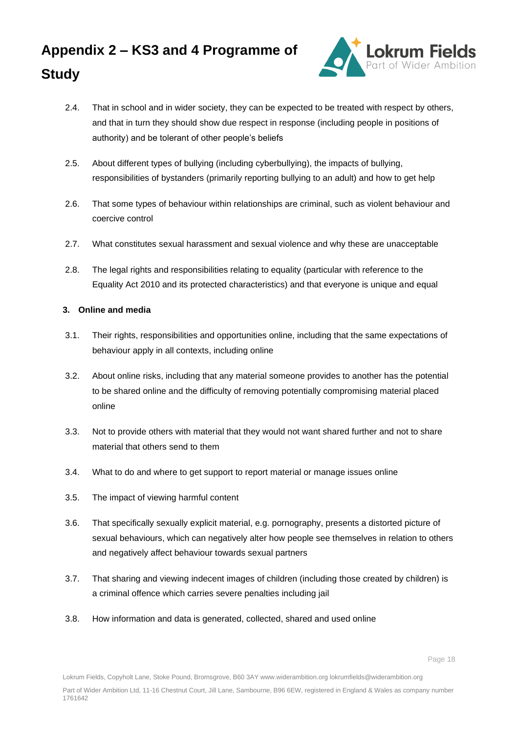

- 2.4. That in school and in wider society, they can be expected to be treated with respect by others, and that in turn they should show due respect in response (including people in positions of authority) and be tolerant of other people's beliefs
- 2.5. About different types of bullying (including cyberbullying), the impacts of bullying, responsibilities of bystanders (primarily reporting bullying to an adult) and how to get help
- 2.6. That some types of behaviour within relationships are criminal, such as violent behaviour and coercive control
- 2.7. What constitutes sexual harassment and sexual violence and why these are unacceptable
- 2.8. The legal rights and responsibilities relating to equality (particular with reference to the Equality Act 2010 and its protected characteristics) and that everyone is unique and equal

## **3. Online and media**

- 3.1. Their rights, responsibilities and opportunities online, including that the same expectations of behaviour apply in all contexts, including online
- 3.2. About online risks, including that any material someone provides to another has the potential to be shared online and the difficulty of removing potentially compromising material placed online
- 3.3. Not to provide others with material that they would not want shared further and not to share material that others send to them
- 3.4. What to do and where to get support to report material or manage issues online
- 3.5. The impact of viewing harmful content
- 3.6. That specifically sexually explicit material, e.g. pornography, presents a distorted picture of sexual behaviours, which can negatively alter how people see themselves in relation to others and negatively affect behaviour towards sexual partners
- 3.7. That sharing and viewing indecent images of children (including those created by children) is a criminal offence which carries severe penalties including jail
- 3.8. How information and data is generated, collected, shared and used online

Lokrum Fields, Copyholt Lane, Stoke Pound, Bromsgrove, B60 3AY www.widerambition.org lokrumfields@widerambition.org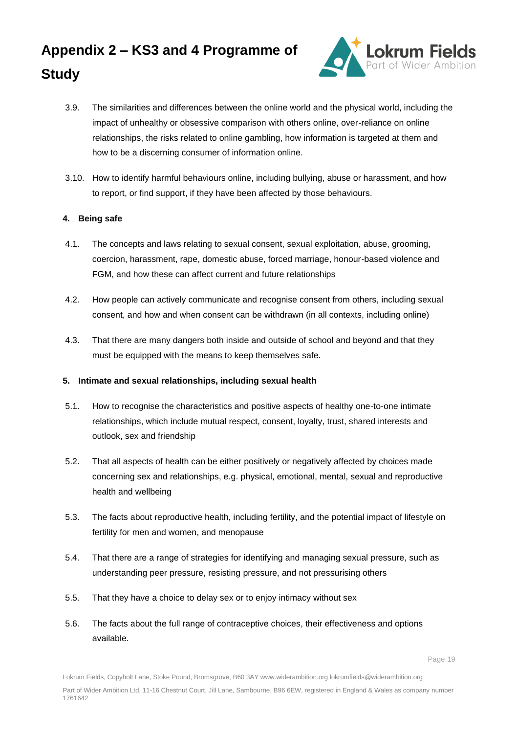# **Appendix 2 – KS3 and 4 Programme of Study**



- 3.9. The similarities and differences between the online world and the physical world, including the impact of unhealthy or obsessive comparison with others online, over-reliance on online relationships, the risks related to online gambling, how information is targeted at them and how to be a discerning consumer of information online.
- 3.10. How to identify harmful behaviours online, including bullying, abuse or harassment, and how to report, or find support, if they have been affected by those behaviours.

# **4. Being safe**

- 4.1. The concepts and laws relating to sexual consent, sexual exploitation, abuse, grooming, coercion, harassment, rape, domestic abuse, forced marriage, honour-based violence and FGM, and how these can affect current and future relationships
- 4.2. How people can actively communicate and recognise consent from others, including sexual consent, and how and when consent can be withdrawn (in all contexts, including online)
- 4.3. That there are many dangers both inside and outside of school and beyond and that they must be equipped with the means to keep themselves safe.

# **5. Intimate and sexual relationships, including sexual health**

- 5.1. How to recognise the characteristics and positive aspects of healthy one-to-one intimate relationships, which include mutual respect, consent, loyalty, trust, shared interests and outlook, sex and friendship
- 5.2. That all aspects of health can be either positively or negatively affected by choices made concerning sex and relationships, e.g. physical, emotional, mental, sexual and reproductive health and wellbeing
- 5.3. The facts about reproductive health, including fertility, and the potential impact of lifestyle on fertility for men and women, and menopause
- 5.4. That there are a range of strategies for identifying and managing sexual pressure, such as understanding peer pressure, resisting pressure, and not pressurising others
- 5.5. That they have a choice to delay sex or to enjoy intimacy without sex
- 5.6. The facts about the full range of contraceptive choices, their effectiveness and options available.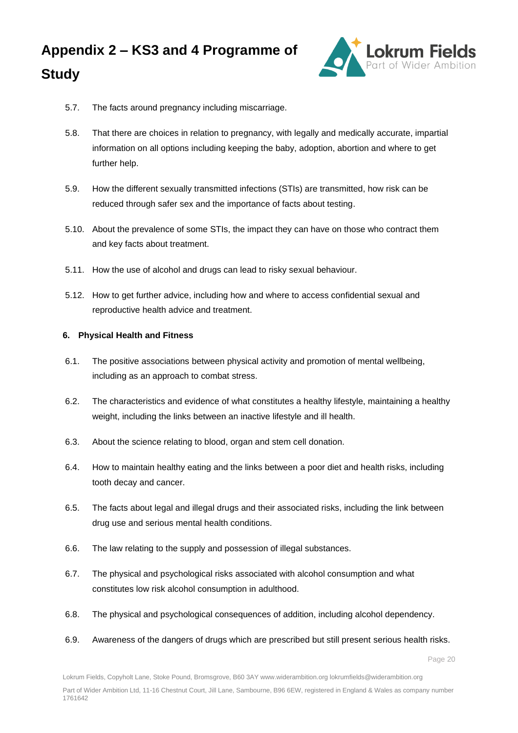

- 5.7. The facts around pregnancy including miscarriage.
- 5.8. That there are choices in relation to pregnancy, with legally and medically accurate, impartial information on all options including keeping the baby, adoption, abortion and where to get further help.
- 5.9. How the different sexually transmitted infections (STIs) are transmitted, how risk can be reduced through safer sex and the importance of facts about testing.
- 5.10. About the prevalence of some STIs, the impact they can have on those who contract them and key facts about treatment.
- 5.11. How the use of alcohol and drugs can lead to risky sexual behaviour.
- 5.12. How to get further advice, including how and where to access confidential sexual and reproductive health advice and treatment.

#### **6. Physical Health and Fitness**

- 6.1. The positive associations between physical activity and promotion of mental wellbeing, including as an approach to combat stress.
- 6.2. The characteristics and evidence of what constitutes a healthy lifestyle, maintaining a healthy weight, including the links between an inactive lifestyle and ill health.
- 6.3. About the science relating to blood, organ and stem cell donation.
- 6.4. How to maintain healthy eating and the links between a poor diet and health risks, including tooth decay and cancer.
- 6.5. The facts about legal and illegal drugs and their associated risks, including the link between drug use and serious mental health conditions.
- 6.6. The law relating to the supply and possession of illegal substances.
- 6.7. The physical and psychological risks associated with alcohol consumption and what constitutes low risk alcohol consumption in adulthood.
- 6.8. The physical and psychological consequences of addition, including alcohol dependency.
- 6.9. Awareness of the dangers of drugs which are prescribed but still present serious health risks.

Lokrum Fields, Copyholt Lane, Stoke Pound, Bromsgrove, B60 3AY www.widerambition.org lokrumfields@widerambition.org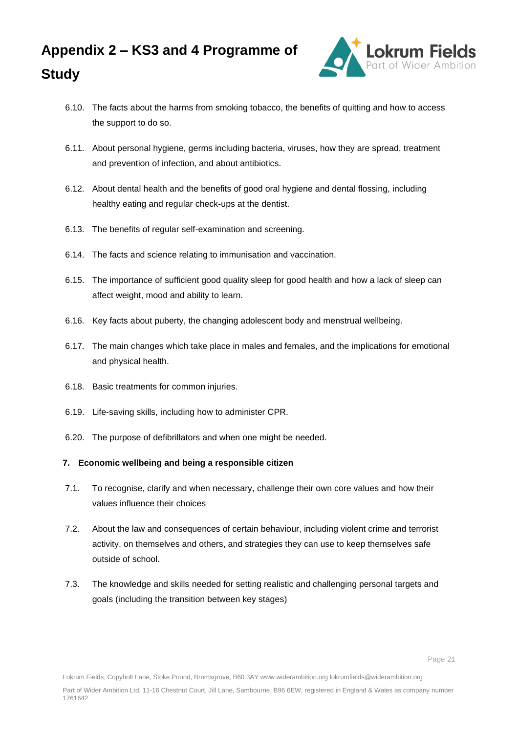

- 6.10. The facts about the harms from smoking tobacco, the benefits of quitting and how to access the support to do so.
- 6.11. About personal hygiene, germs including bacteria, viruses, how they are spread, treatment and prevention of infection, and about antibiotics.
- 6.12. About dental health and the benefits of good oral hygiene and dental flossing, including healthy eating and regular check-ups at the dentist.
- 6.13. The benefits of regular self-examination and screening.
- 6.14. The facts and science relating to immunisation and vaccination.
- 6.15. The importance of sufficient good quality sleep for good health and how a lack of sleep can affect weight, mood and ability to learn.
- 6.16. Key facts about puberty, the changing adolescent body and menstrual wellbeing.
- 6.17. The main changes which take place in males and females, and the implications for emotional and physical health.
- 6.18. Basic treatments for common injuries.
- 6.19. Life-saving skills, including how to administer CPR.
- 6.20. The purpose of defibrillators and when one might be needed.

#### **7. Economic wellbeing and being a responsible citizen**

- 7.1. To recognise, clarify and when necessary, challenge their own core values and how their values influence their choices
- 7.2. About the law and consequences of certain behaviour, including violent crime and terrorist activity, on themselves and others, and strategies they can use to keep themselves safe outside of school.
- 7.3. The knowledge and skills needed for setting realistic and challenging personal targets and goals (including the transition between key stages)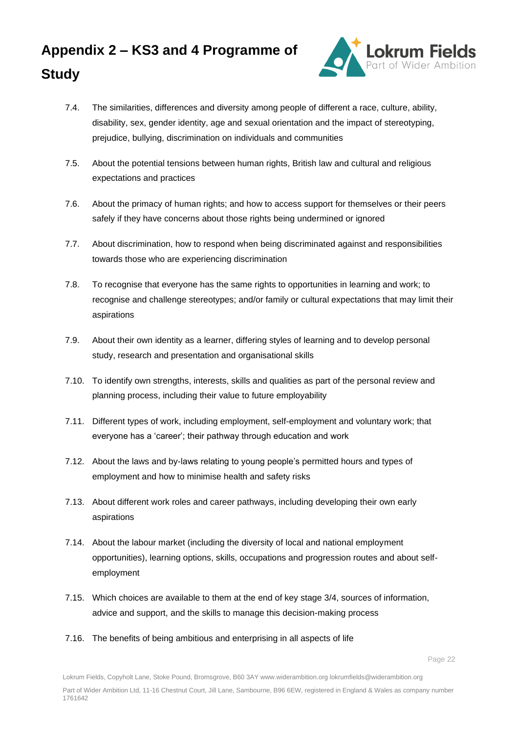

- 7.4. The similarities, differences and diversity among people of different a race, culture, ability, disability, sex, gender identity, age and sexual orientation and the impact of stereotyping, prejudice, bullying, discrimination on individuals and communities
- 7.5. About the potential tensions between human rights, British law and cultural and religious expectations and practices
- 7.6. About the primacy of human rights; and how to access support for themselves or their peers safely if they have concerns about those rights being undermined or ignored
- 7.7. About discrimination, how to respond when being discriminated against and responsibilities towards those who are experiencing discrimination
- 7.8. To recognise that everyone has the same rights to opportunities in learning and work; to recognise and challenge stereotypes; and/or family or cultural expectations that may limit their aspirations
- 7.9. About their own identity as a learner, differing styles of learning and to develop personal study, research and presentation and organisational skills
- 7.10. To identify own strengths, interests, skills and qualities as part of the personal review and planning process, including their value to future employability
- 7.11. Different types of work, including employment, self-employment and voluntary work; that everyone has a 'career'; their pathway through education and work
- 7.12. About the laws and by-laws relating to young people's permitted hours and types of employment and how to minimise health and safety risks
- 7.13. About different work roles and career pathways, including developing their own early aspirations
- 7.14. About the labour market (including the diversity of local and national employment opportunities), learning options, skills, occupations and progression routes and about selfemployment
- 7.15. Which choices are available to them at the end of key stage 3/4, sources of information, advice and support, and the skills to manage this decision-making process
- 7.16. The benefits of being ambitious and enterprising in all aspects of life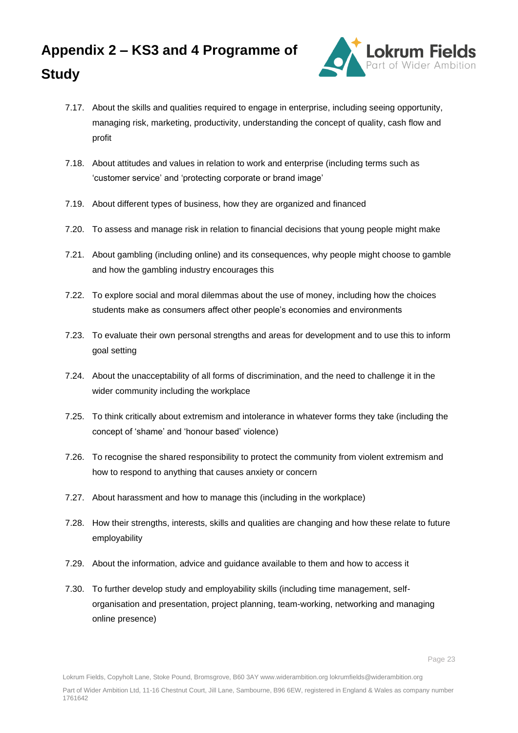

- 7.17. About the skills and qualities required to engage in enterprise, including seeing opportunity, managing risk, marketing, productivity, understanding the concept of quality, cash flow and profit
- 7.18. About attitudes and values in relation to work and enterprise (including terms such as 'customer service' and 'protecting corporate or brand image'
- 7.19. About different types of business, how they are organized and financed
- 7.20. To assess and manage risk in relation to financial decisions that young people might make
- 7.21. About gambling (including online) and its consequences, why people might choose to gamble and how the gambling industry encourages this
- 7.22. To explore social and moral dilemmas about the use of money, including how the choices students make as consumers affect other people's economies and environments
- 7.23. To evaluate their own personal strengths and areas for development and to use this to inform goal setting
- 7.24. About the unacceptability of all forms of discrimination, and the need to challenge it in the wider community including the workplace
- 7.25. To think critically about extremism and intolerance in whatever forms they take (including the concept of 'shame' and 'honour based' violence)
- 7.26. To recognise the shared responsibility to protect the community from violent extremism and how to respond to anything that causes anxiety or concern
- 7.27. About harassment and how to manage this (including in the workplace)
- 7.28. How their strengths, interests, skills and qualities are changing and how these relate to future employability
- 7.29. About the information, advice and guidance available to them and how to access it
- 7.30. To further develop study and employability skills (including time management, selforganisation and presentation, project planning, team-working, networking and managing online presence)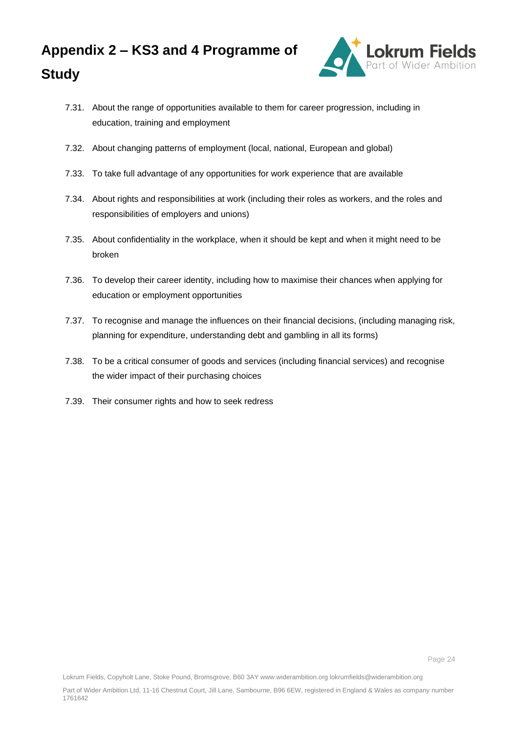

- 7.31. About the range of opportunities available to them for career progression, including in education, training and employment
- 7.32. About changing patterns of employment (local, national, European and global)
- 7.33. To take full advantage of any opportunities for work experience that are available
- 7.34. About rights and responsibilities at work (including their roles as workers, and the roles and responsibilities of employers and unions)
- 7.35. About confidentiality in the workplace, when it should be kept and when it might need to be broken
- 7.36. To develop their career identity, including how to maximise their chances when applying for education or employment opportunities
- 7.37. To recognise and manage the influences on their financial decisions, (including managing risk, planning for expenditure, understanding debt and gambling in all its forms)
- 7.38. To be a critical consumer of goods and services (including financial services) and recognise the wider impact of their purchasing choices
- 7.39. Their consumer rights and how to seek redress